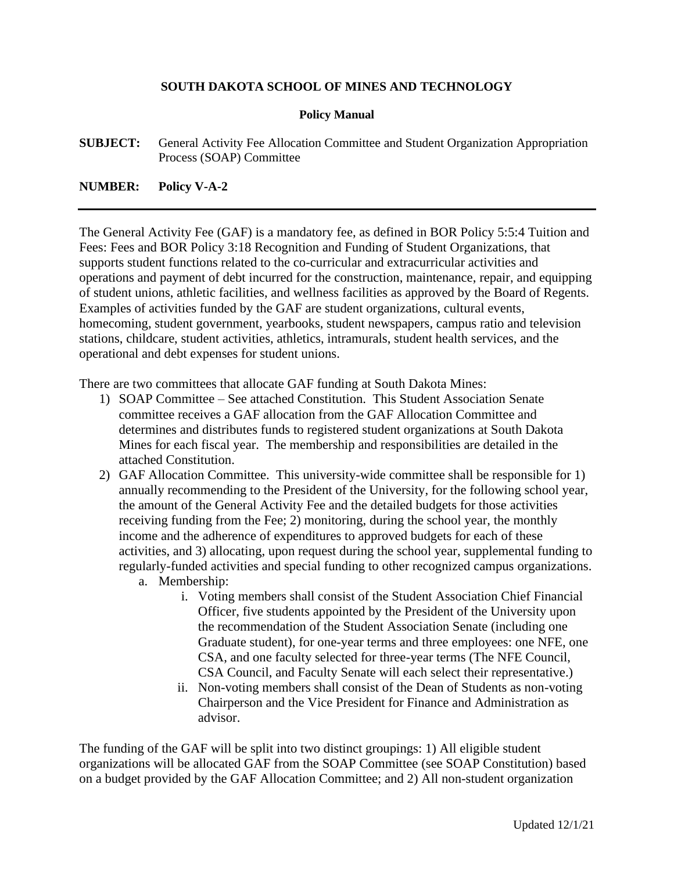## **SOUTH DAKOTA SCHOOL OF MINES AND TECHNOLOGY**

## **Policy Manual**

**SUBJECT:** General Activity Fee Allocation Committee and Student Organization Appropriation Process (SOAP) Committee

## **NUMBER: Policy V-A-2**

The General Activity Fee (GAF) is a mandatory fee, as defined in BOR Policy 5:5:4 Tuition and Fees: Fees and BOR Policy 3:18 Recognition and Funding of Student Organizations, that supports student functions related to the co-curricular and extracurricular activities and operations and payment of debt incurred for the construction, maintenance, repair, and equipping of student unions, athletic facilities, and wellness facilities as approved by the Board of Regents. Examples of activities funded by the GAF are student organizations, cultural events, homecoming, student government, yearbooks, student newspapers, campus ratio and television stations, childcare, student activities, athletics, intramurals, student health services, and the operational and debt expenses for student unions.

There are two committees that allocate GAF funding at South Dakota Mines:

- 1) SOAP Committee See attached Constitution. This Student Association Senate committee receives a GAF allocation from the GAF Allocation Committee and determines and distributes funds to registered student organizations at South Dakota Mines for each fiscal year. The membership and responsibilities are detailed in the attached Constitution.
- 2) GAF Allocation Committee. This university-wide committee shall be responsible for 1) annually recommending to the President of the University, for the following school year, the amount of the General Activity Fee and the detailed budgets for those activities receiving funding from the Fee; 2) monitoring, during the school year, the monthly income and the adherence of expenditures to approved budgets for each of these activities, and 3) allocating, upon request during the school year, supplemental funding to regularly-funded activities and special funding to other recognized campus organizations.
	- a. Membership:
		- i. Voting members shall consist of the Student Association Chief Financial Officer, five students appointed by the President of the University upon the recommendation of the Student Association Senate (including one Graduate student), for one-year terms and three employees: one NFE, one CSA, and one faculty selected for three-year terms (The NFE Council, CSA Council, and Faculty Senate will each select their representative.)
		- ii. Non-voting members shall consist of the Dean of Students as non-voting Chairperson and the Vice President for Finance and Administration as advisor.

The funding of the GAF will be split into two distinct groupings: 1) All eligible student organizations will be allocated GAF from the SOAP Committee (see SOAP Constitution) based on a budget provided by the GAF Allocation Committee; and 2) All non-student organization